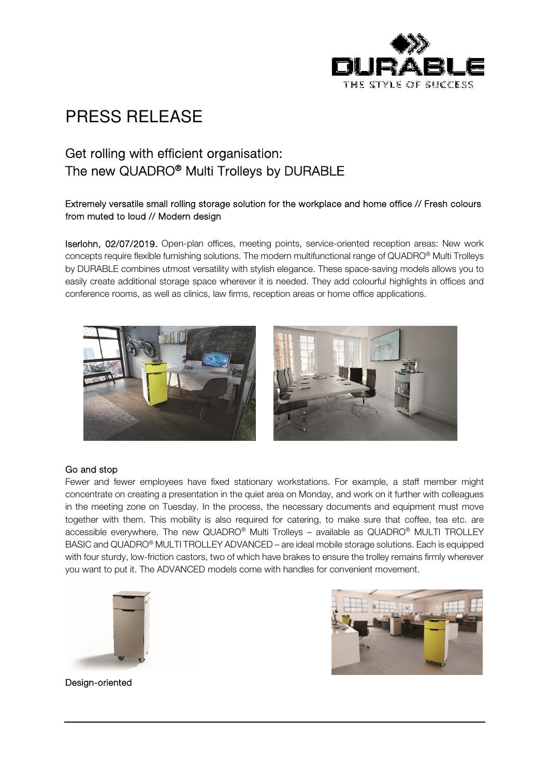

## PRESS RELEASE

### Get rolling with efficient organisation: The new QUADRO® Multi Trolleys by DURABLE

### Extremely versatile small rolling storage solution for the workplace and home office // Fresh colours from muted to loud // Modern design

Iserlohn, 02/07/2019. Open-plan offices, meeting points, service-oriented reception areas: New work concepts require flexible furnishing solutions. The modern multifunctional range of QUADRO® Multi Trolleys by DURABLE combines utmost versatility with stylish elegance. These space-saving models allows you to easily create additional storage space wherever it is needed. They add colourful highlights in offices and conference rooms, as well as clinics, law firms, reception areas or home office applications.



#### Go and stop

Fewer and fewer employees have fixed stationary workstations. For example, a staff member might concentrate on creating a presentation in the quiet area on Monday, and work on it further with colleagues in the meeting zone on Tuesday. In the process, the necessary documents and equipment must move together with them. This mobility is also required for catering, to make sure that coffee, tea etc. are accessible everywhere. The new QUADRO® Multi Trolleys – available as QUADRO® MULTI TROLLEY BASIC and QUADRO® MULTI TROLLEY ADVANCED – are ideal mobile storage solutions. Each is equipped with four sturdy, low-friction castors, two of which have brakes to ensure the trolley remains firmly wherever you want to put it. The ADVANCED models come with handles for convenient movement.





Design-oriented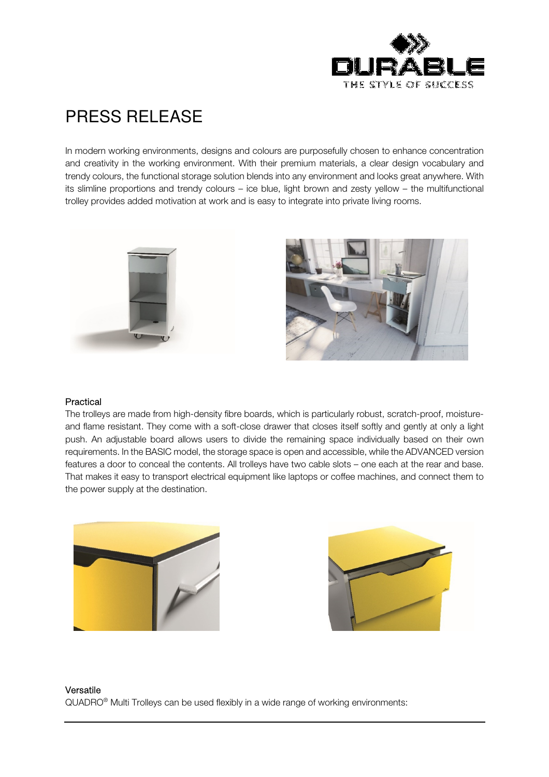

# PRESS RELEASE

In modern working environments, designs and colours are purposefully chosen to enhance concentration and creativity in the working environment. With their premium materials, a clear design vocabulary and trendy colours, the functional storage solution blends into any environment and looks great anywhere. With its slimline proportions and trendy colours – ice blue, light brown and zesty yellow – the multifunctional trolley provides added motivation at work and is easy to integrate into private living rooms.





#### Practical

The trolleys are made from high-density fibre boards, which is particularly robust, scratch-proof, moistureand flame resistant. They come with a soft-close drawer that closes itself softly and gently at only a light push. An adjustable board allows users to divide the remaining space individually based on their own requirements. In the BASIC model, the storage space is open and accessible, while the ADVANCED version features a door to conceal the contents. All trolleys have two cable slots – one each at the rear and base. That makes it easy to transport electrical equipment like laptops or coffee machines, and connect them to the power supply at the destination.





#### Versatile QUADRO® Multi Trolleys can be used flexibly in a wide range of working environments: